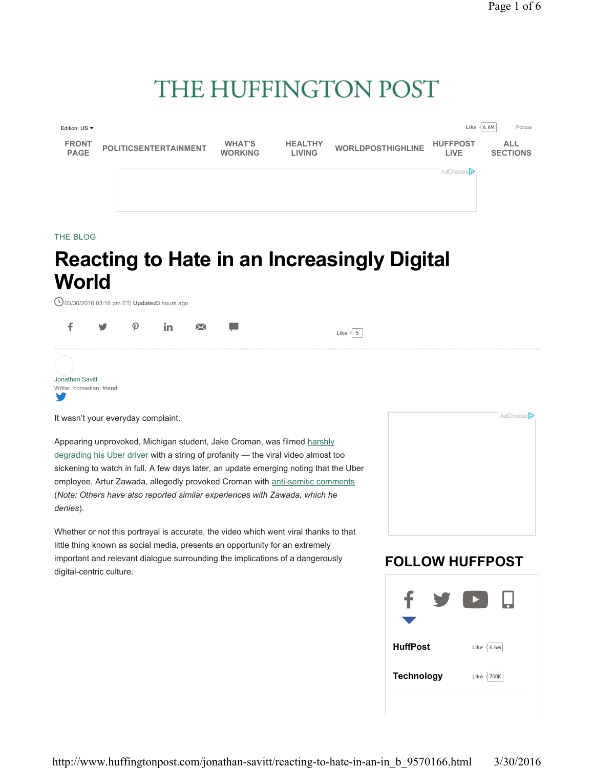# THE HUFFINGTON POST



#### THE BLOG

# **Reacting to Hate in an Increasingly Digital World**

03/30/2016 03:16 pm ET| **Updated**3 hours ago



It wasn't your everyday complaint.

Appearing unprovoked, Michigan student, Jake Croman, was filmed harshly degrading his Uber driver with a string of profanity — the viral video almost too sickening to watch in full. A few days later, an update emerging noting that the Uber employee, Artur Zawada, allegedly provoked Croman with anti-semitic comments (*Note: Others have also reported similar experiences with Zawada, which he denies*).

Whether or not this portrayal is accurate, the video which went viral thanks to that little thing known as social media, presents an opportunity for an extremely important and relevant dialogue surrounding the implications of a dangerously digital-centric culture.



### **FOLLOW HUFFPOST**

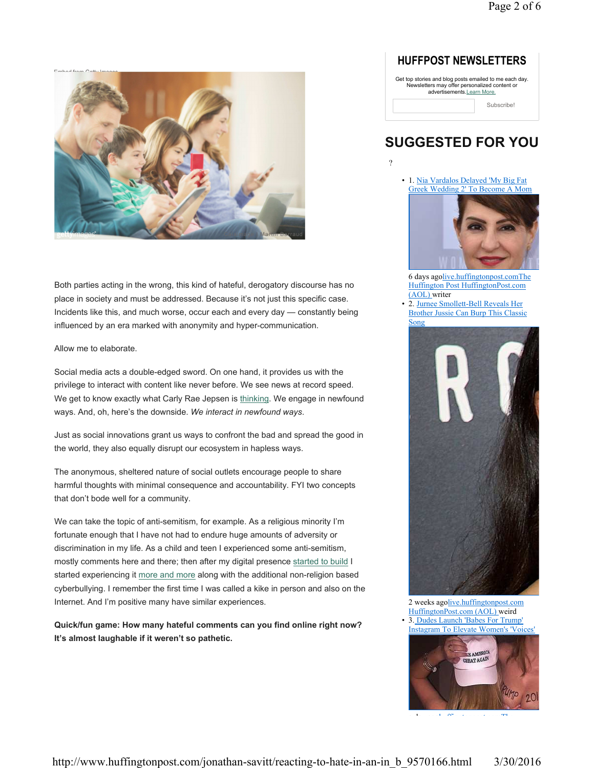

Both parties acting in the wrong, this kind of hateful, derogatory discourse has no place in society and must be addressed. Because it's not just this specific case. Incidents like this, and much worse, occur each and every day — constantly being influenced by an era marked with anonymity and hyper-communication.

Allow me to elaborate.

Social media acts a double-edged sword. On one hand, it provides us with the privilege to interact with content like never before. We see news at record speed. We get to know exactly what Carly Rae Jepsen is thinking. We engage in newfound ways. And, oh, here's the downside. *We interact in newfound ways*.

Just as social innovations grant us ways to confront the bad and spread the good in the world, they also equally disrupt our ecosystem in hapless ways.

The anonymous, sheltered nature of social outlets encourage people to share harmful thoughts with minimal consequence and accountability. FYI two concepts that don't bode well for a community.

We can take the topic of anti-semitism, for example. As a religious minority I'm fortunate enough that I have not had to endure huge amounts of adversity or discrimination in my life. As a child and teen I experienced some anti-semitism, mostly comments here and there; then after my digital presence started to build I started experiencing it more and more along with the additional non-religion based cyberbullying. I remember the first time I was called a kike in person and also on the Internet. And I'm positive many have similar experiences.

**Quick/fun game: How many hateful comments can you find online right now? It's almost laughable if it weren't so pathetic.** 

# **HUFFPOST NEWSLETTERS**

| Get top stories and blog posts emailed to me each day.<br>Newsletters may offer personalized content or<br>advertisements.Learn More. |            |  |
|---------------------------------------------------------------------------------------------------------------------------------------|------------|--|
|                                                                                                                                       | Subscribe! |  |

## **SUGGESTED FOR YOU**

?

• 1. Nia Vardalos Delayed 'My Big Fat Greek Wedding 2' To Become A Mom



6 days agolive.huffingtonpost.comThe Huffington Post HuffingtonPost.com (AOL) writer • 2. Jurnee Smollett-Bell Reveals Her Brother Jussie Can Burp This Classic



2 weeks agolive.huffingtonpost.com HuffingtonPost.com (AOL) weird • 3. Dudes Launch 'Babes For Trump' Instagram To Elevate Women's 'Voices'



a day agohuffingtonpost.comThe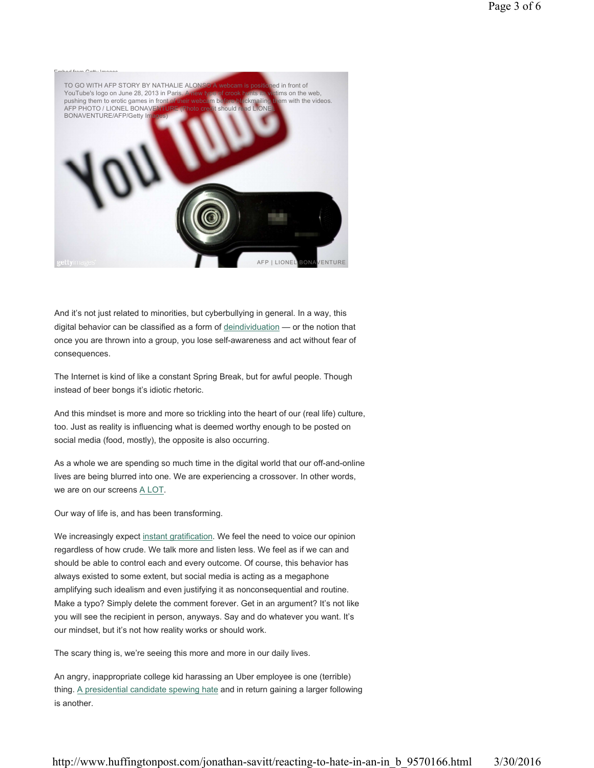

And it's not just related to minorities, but cyberbullying in general. In a way, this digital behavior can be classified as a form of deindividuation - or the notion that once you are thrown into a group, you lose self-awareness and act without fear of consequences.

The Internet is kind of like a constant Spring Break, but for awful people. Though instead of beer bongs it's idiotic rhetoric.

And this mindset is more and more so trickling into the heart of our (real life) culture, too. Just as reality is influencing what is deemed worthy enough to be posted on social media (food, mostly), the opposite is also occurring.

As a whole we are spending so much time in the digital world that our off-and-online lives are being blurred into one. We are experiencing a crossover. In other words, we are on our screens **A LOT**.

Our way of life is, and has been transforming.

We increasingly expect instant gratification. We feel the need to voice our opinion regardless of how crude. We talk more and listen less. We feel as if we can and should be able to control each and every outcome. Of course, this behavior has always existed to some extent, but social media is acting as a megaphone amplifying such idealism and even justifying it as nonconsequential and routine. Make a typo? Simply delete the comment forever. Get in an argument? It's not like you will see the recipient in person, anyways. Say and do whatever you want. It's our mindset, but it's not how reality works or should work.

The scary thing is, we're seeing this more and more in our daily lives.

An angry, inappropriate college kid harassing an Uber employee is one (terrible) thing. A presidential candidate spewing hate and in return gaining a larger following is another.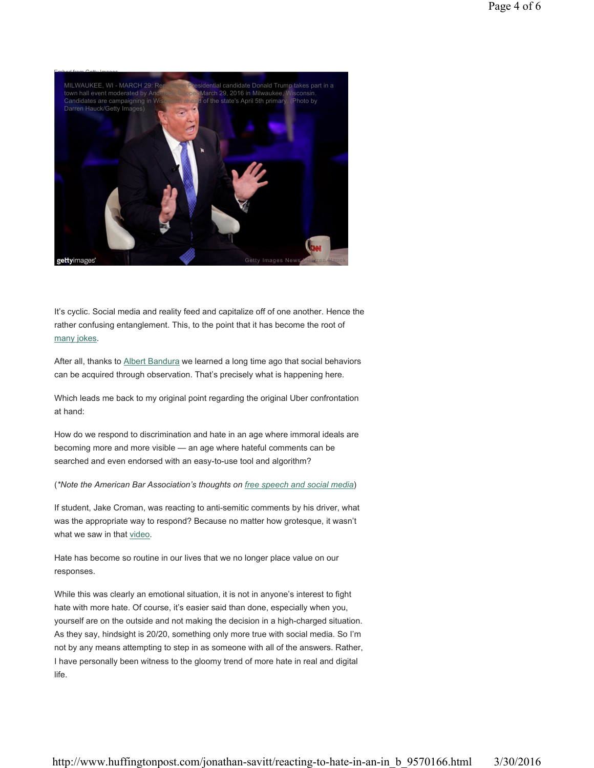

It's cyclic. Social media and reality feed and capitalize off of one another. Hence the rather confusing entanglement. This, to the point that it has become the root of many jokes.

After all, thanks to **Albert Bandura** we learned a long time ago that social behaviors can be acquired through observation. That's precisely what is happening here.

Which leads me back to my original point regarding the original Uber confrontation at hand:

How do we respond to discrimination and hate in an age where immoral ideals are becoming more and more visible — an age where hateful comments can be searched and even endorsed with an easy-to-use tool and algorithm?

(*\*Note the American Bar Association's thoughts on free speech and social media*)

If student, Jake Croman, was reacting to anti-semitic comments by his driver, what was the appropriate way to respond? Because no matter how grotesque, it wasn't what we saw in that video.

Hate has become so routine in our lives that we no longer place value on our responses.

While this was clearly an emotional situation, it is not in anyone's interest to fight hate with more hate. Of course, it's easier said than done, especially when you, yourself are on the outside and not making the decision in a high-charged situation. As they say, hindsight is 20/20, something only more true with social media. So I'm not by any means attempting to step in as someone with all of the answers. Rather, I have personally been witness to the gloomy trend of more hate in real and digital life.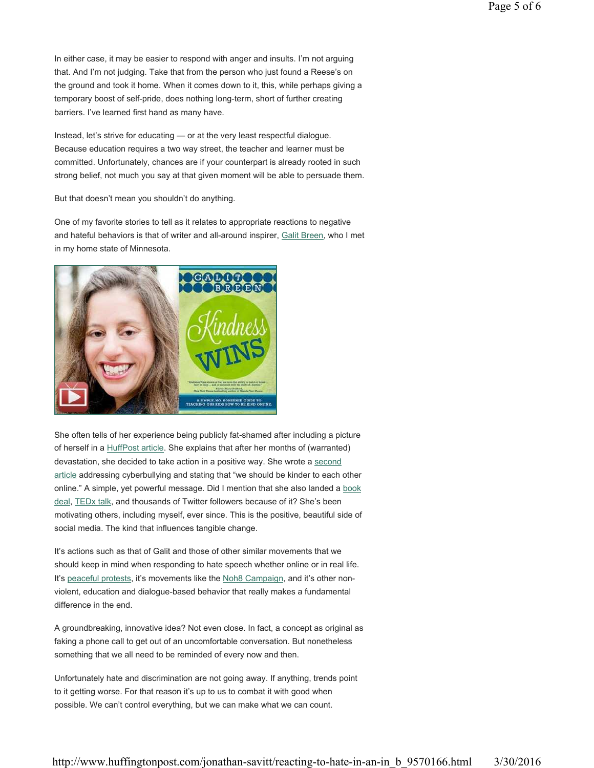In either case, it may be easier to respond with anger and insults. I'm not arguing that. And I'm not judging. Take that from the person who just found a Reese's on the ground and took it home. When it comes down to it, this, while perhaps giving a temporary boost of self-pride, does nothing long-term, short of further creating barriers. I've learned first hand as many have.

Instead, let's strive for educating — or at the very least respectful dialogue. Because education requires a two way street, the teacher and learner must be committed. Unfortunately, chances are if your counterpart is already rooted in such strong belief, not much you say at that given moment will be able to persuade them.

#### But that doesn't mean you shouldn't do anything.

One of my favorite stories to tell as it relates to appropriate reactions to negative and hateful behaviors is that of writer and all-around inspirer, Galit Breen, who I met in my home state of Minnesota.



She often tells of her experience being publicly fat-shamed after including a picture of herself in a HuffPost article. She explains that after her months of (warranted) devastation, she decided to take action in a positive way. She wrote a second article addressing cyberbullying and stating that "we should be kinder to each other online." A simple, yet powerful message. Did I mention that she also landed a book deal, TEDx talk, and thousands of Twitter followers because of it? She's been motivating others, including myself, ever since. This is the positive, beautiful side of social media. The kind that influences tangible change.

It's actions such as that of Galit and those of other similar movements that we should keep in mind when responding to hate speech whether online or in real life. It's peaceful protests, it's movements like the Noh8 Campaign, and it's other nonviolent, education and dialogue-based behavior that really makes a fundamental difference in the end.

A groundbreaking, innovative idea? Not even close. In fact, a concept as original as faking a phone call to get out of an uncomfortable conversation. But nonetheless something that we all need to be reminded of every now and then.

Unfortunately hate and discrimination are not going away. If anything, trends point to it getting worse. For that reason it's up to us to combat it with good when possible. We can't control everything, but we can make what we can count.